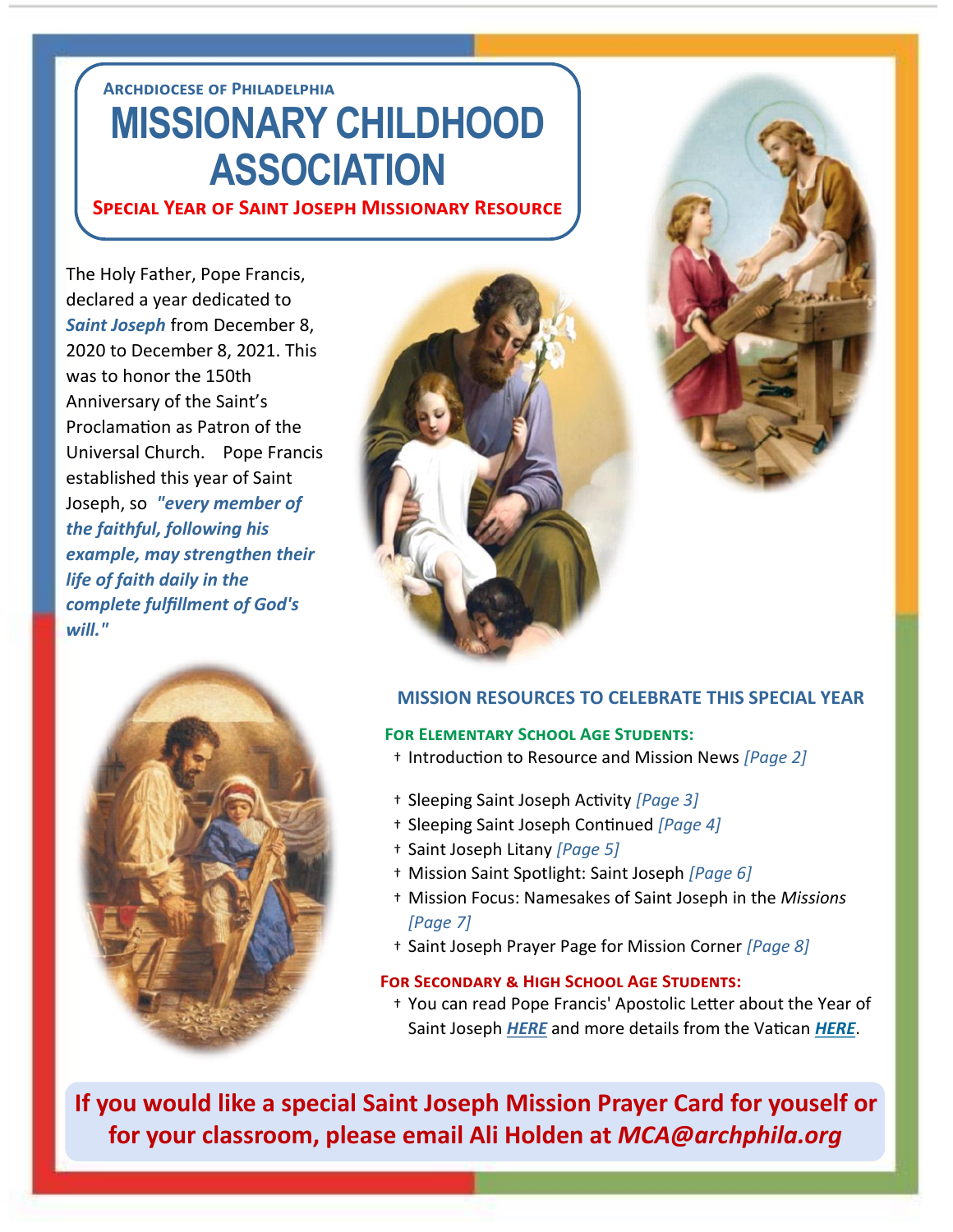## **Archdiocese of Philadelphia MISSIONARY CHILDHOOD ASSOCIATION**

**Special Year of Saint Joseph Missionary Resource**

The Holy Father, Pope Francis, declared a year dedicated to *Saint Joseph* from December 8, 2020 to December 8, 2021. This was to honor the 150th Anniversary of the Saint's Proclamation as Patron of the Universal Church. Pope Francis established this year of Saint Joseph, so *"every member of the faithful, following his example, may strengthen their life of faith daily in the complete fulfillment of God's will."*







### **MISSION RESOURCES TO CELEBRATE THIS SPECIAL YEAR**

#### **For Elementary School Age Students:**

- † Introduction to Resource and Mission News *[Page 2]*
- † Sleeping Saint Joseph Activity *[Page 3]*
- † Sleeping Saint Joseph Continued *[Page 4]*
- † Saint Joseph Litany *[Page 5]*
- † Mission Saint Spotlight: Saint Joseph *[Page 6]*
- † Mission Focus: Namesakes of Saint Joseph in the *Missions [Page 7]*
- † Saint Joseph Prayer Page for Mission Corner *[Page 8]*

#### **For Secondary & High School Age Students:**

† You can read Pope Francis' Apostolic Letter about the Year of Saint Joseph *[HERE](http://www.vatican.va/content/francesco/en/apost_letters/documents/papa-francesco-lettera-ap_20201208_patris-corde.html)* and more details from the Vatican *[HERE](https://www.vaticannews.va/en/pope/news/2020-12/pope-francis-proclaims-year-of-st-joseph.html)*.

**If you would like a special Saint Joseph Mission Prayer Card for youself or for your classroom, please email Ali Holden at** *MCA@archphila.org*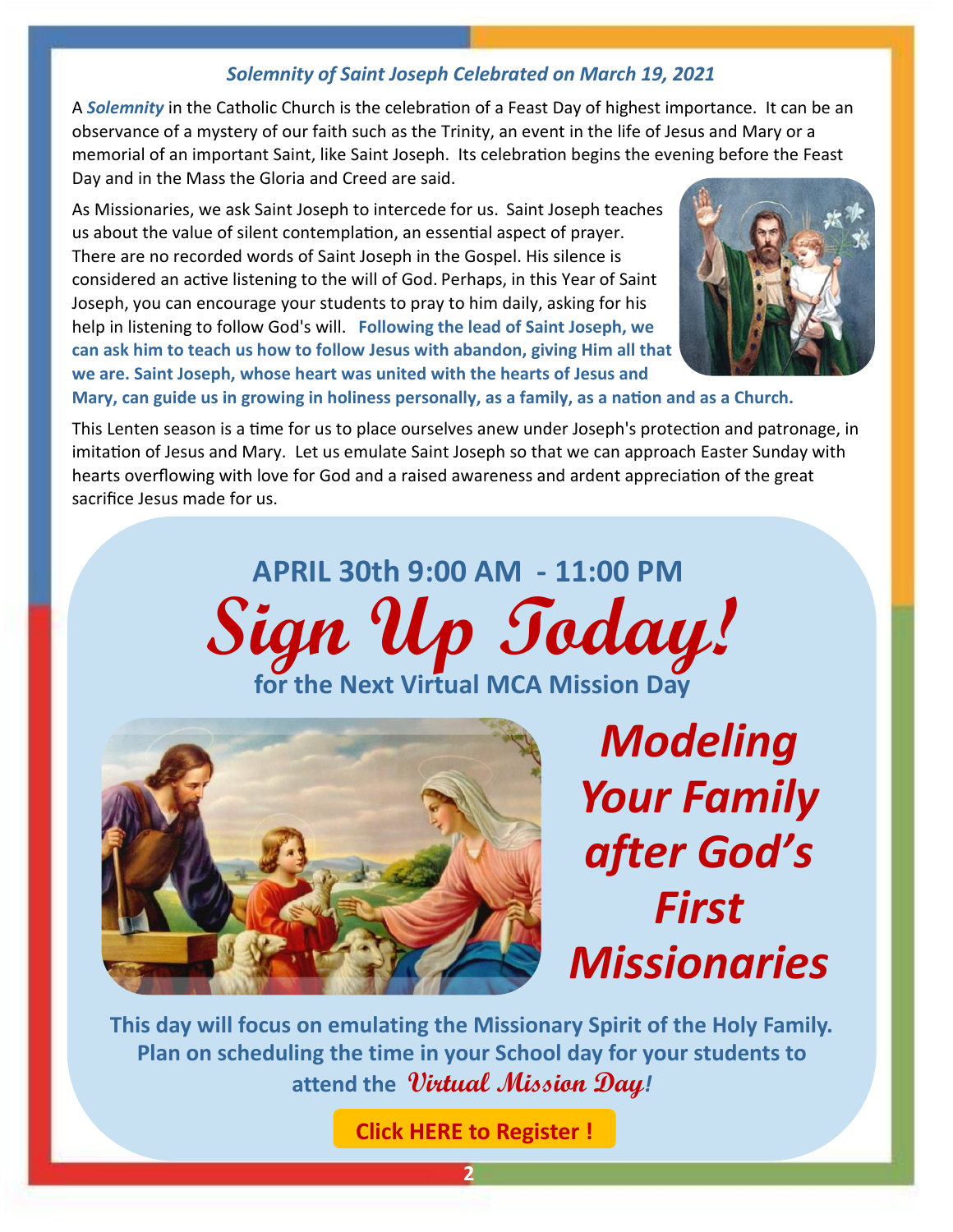## *Solemnity of Saint Joseph Celebrated on March 19, 2021*

A *Solemnity* in the Catholic Church is the celebration of a Feast Day of highest importance. It can be an observance of a mystery of our faith such as the Trinity, an event in the life of Jesus and Mary or a memorial of an important Saint, like Saint Joseph. Its celebration begins the evening before the Feast Day and in the Mass the Gloria and Creed are said.

As Missionaries, we ask Saint Joseph to intercede for us. Saint Joseph teaches us about the value of silent contemplation, an essential aspect of prayer. There are no recorded words of Saint Joseph in the Gospel. His silence is considered an active listening to the will of God. Perhaps, in this Year of Saint Joseph, you can encourage your students to pray to him daily, asking for his help in listening to follow God's will. **Following the lead of Saint Joseph, we can ask him to teach us how to follow Jesus with abandon, giving Him all that we are. Saint Joseph, whose heart was united with the hearts of Jesus and** 



**Mary, can guide us in growing in holiness personally, as a family, as a nation and as a Church.** 

This Lenten season is a time for us to place ourselves anew under Joseph's protection and patronage, in imitation of Jesus and Mary. Let us emulate Saint Joseph so that we can approach Easter Sunday with hearts overflowing with love for God and a raised awareness and ardent appreciation of the great sacrifice Jesus made for us.





*Modeling Your Family after God's First Missionaries*

**This day will focus on emulating the Missionary Spirit of the Holy Family. Plan on scheduling the time in your School day for your students to attend the Virtual Mission Day***!*

**[Click HERE to Register !](https://docs.google.com/forms/d/e/1FAIpQLSckcfAVPHnfNRa-_NO5r_H33DywTHo7fKqhlyrjRBUu2QuMJQ/viewform?usp=sf_link)**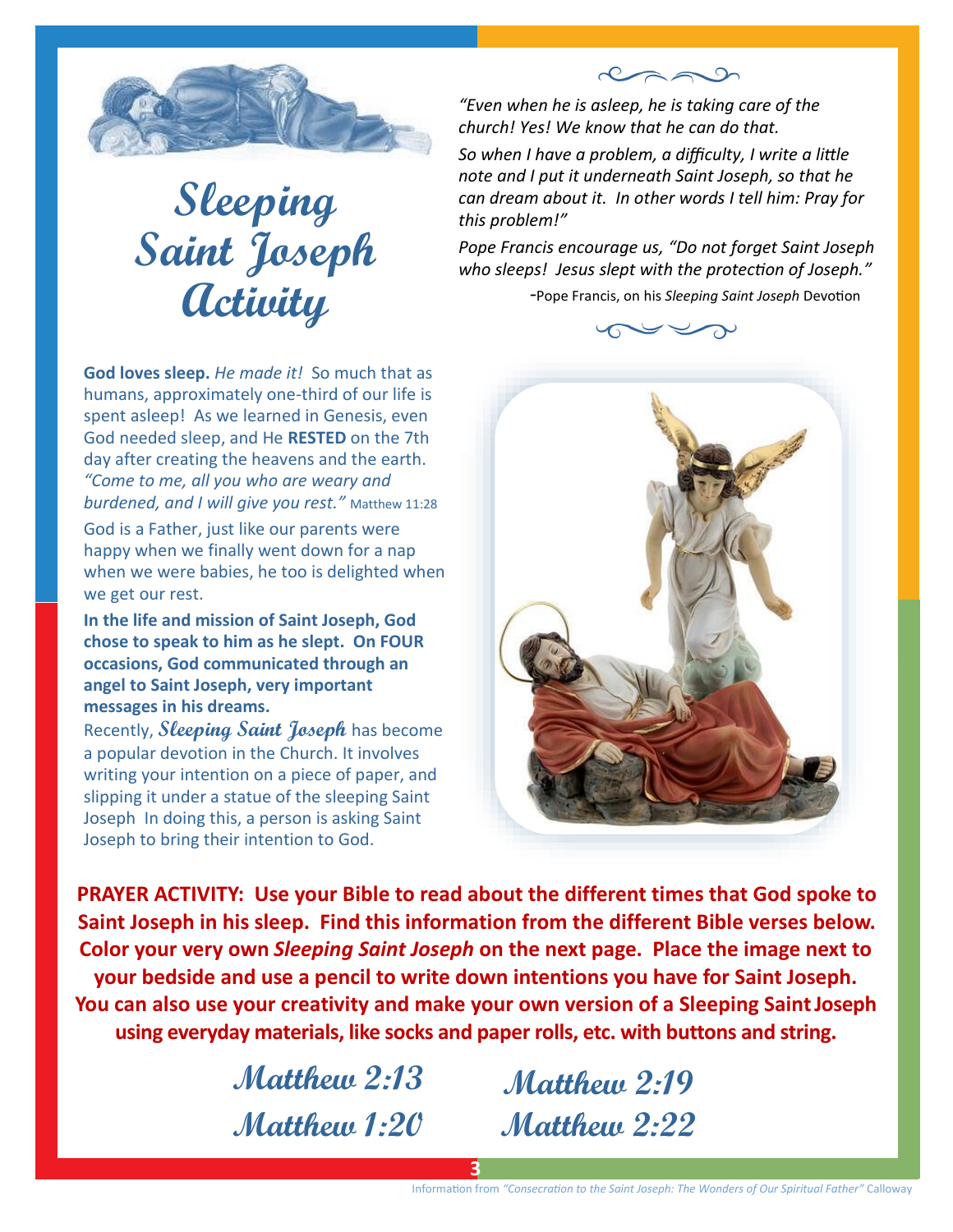

**Sleeping Saint Joseph Activity**

**God loves sleep.** *He made it!* So much that as humans, approximately one-third of our life is spent asleep! As we learned in Genesis, even God needed sleep, and He **RESTED** on the 7th day after creating the heavens and the earth. *"Come to me, all you who are weary and burdened, and I will give you rest."* Matthew 11:28

God is a Father, just like our parents were happy when we finally went down for a nap when we were babies, he too is delighted when we get our rest.

**In the life and mission of Saint Joseph, God chose to speak to him as he slept. On FOUR occasions, God communicated through an angel to Saint Joseph, very important messages in his dreams.** 

Recently, **Sleeping Saint Joseph** has become a popular devotion in the Church. It involves writing your intention on a piece of paper, and slipping it under a statue of the sleeping Saint Joseph In doing this, a person is asking Saint Joseph to bring their intention to God.

*"Even when he is asleep, he is taking care of the church! Yes! We know that he can do that.* 

*So when I have a problem, a difficulty, I write a little note and I put it underneath Saint Joseph, so that he can dream about it. In other words I tell him: Pray for this problem!"* 

 $222$ 

*Pope Francis encourage us, "Do not forget Saint Joseph who sleeps! Jesus slept with the protection of Joseph."* 

 *-*Pope Francis, on his *Sleeping Saint Joseph* Devotion





**PRAYER ACTIVITY: Use your Bible to read about the different times that God spoke to Saint Joseph in his sleep. Find this information from the different Bible verses below. Color your very own** *Sleeping Saint Joseph* **on the next page. Place the image next to your bedside and use a pencil to write down intentions you have for Saint Joseph. You can also use your creativity and make your own version of a Sleeping Saint Joseph using everyday materials, like socks and paper rolls, etc. with buttons and string.** 

**Matthew 1:20**

**Matthew 2:13 Matthew 2:19 Matthew 2:22**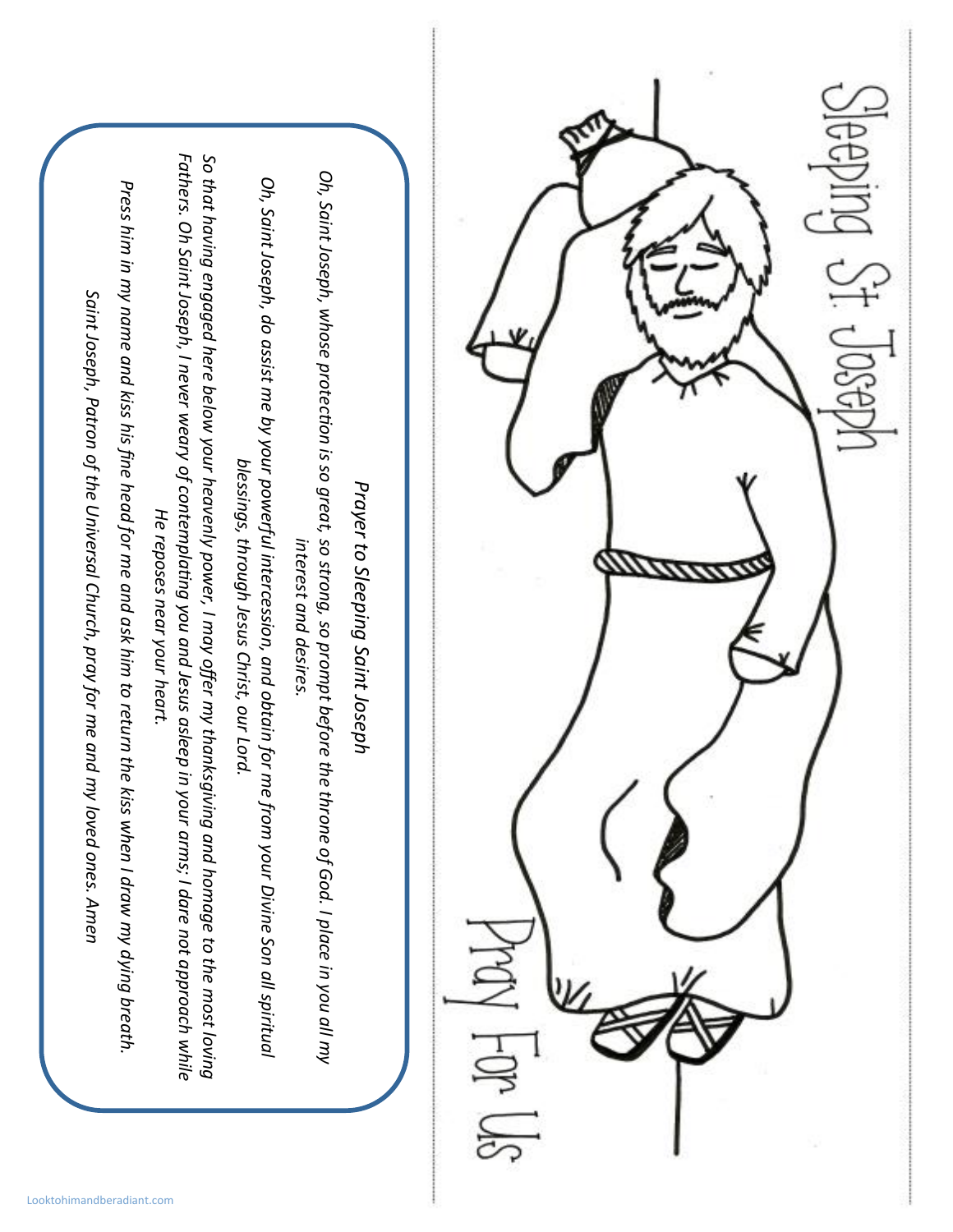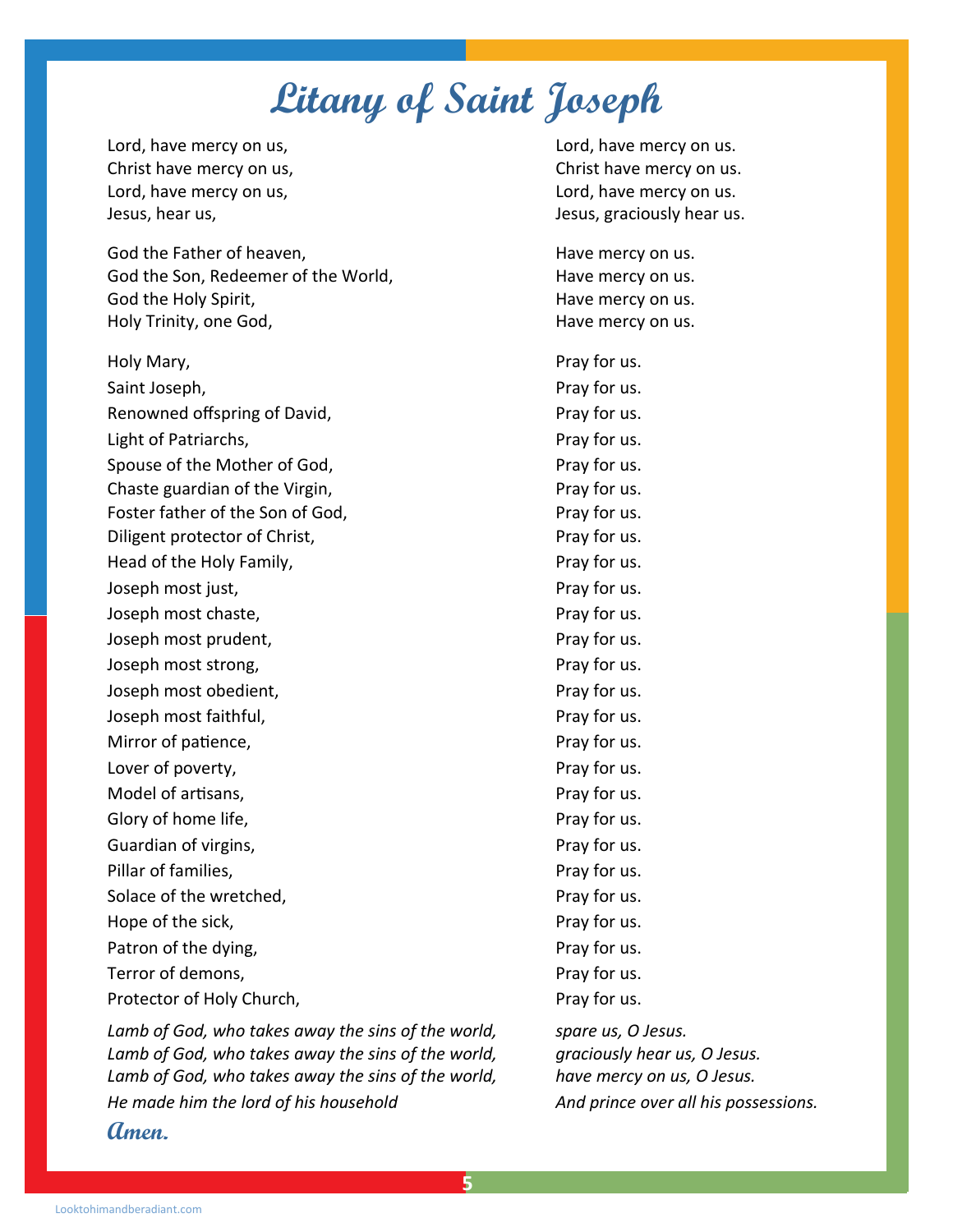## **Litany of Saint Joseph**

Lord, have mercy on us, the control of the lord, have mercy on us. Christ have mercy on us, Christ have mercy on us. Lord, have mercy on us, the control of the lord, have mercy on us. Jesus, hear us, Jesus, graciously hear us.

God the Father of heaven, Same Manuel Market Market Have mercy on us. God the Son, Redeemer of the World, The Most Controller Have mercy on us. God the Holy Spirit, **Have mercy on us.** Have mercy on us. Holy Trinity, one God, Have mercy on us.

Holy Mary, **Pray for us.** Pray for us. Saint Joseph, **Pray for us.** Pray for us. Renowned offspring of David, Network and Pray for us. Light of Patriarchs, The Pray for us. Spouse of the Mother of God, The Pray for us. Chaste guardian of the Virgin, The Chaste guardian of the Virgin, Foster father of the Son of God, Pray for us. Diligent protector of Christ, The Christ of Christ and Pray for us. Head of the Holy Family, The Pray for us. Joseph most just, The Community of the Pray for us. Joseph most chaste, The Contract of the Pray for us. Joseph most prudent, The Contract of the Pray for us. Joseph most strong, The Contract of the Pray for us. Joseph most obedient, The Contract of the Pray for us. Joseph most faithful, and the property of the Pray for us. Mirror of patience,  $\blacksquare$ Lover of poverty, the contract of poverty, the contract of poverty,  $\blacksquare$ Model of artisans, Notice and American control of a Pray for us. Glory of home life,  $\blacksquare$ Guardian of virgins, The Community of the Pray for us. Pillar of families, **Pray for us.** Pray for us. Solace of the wretched, The Contract of the wretched, Pray for us. Hope of the sick,  $\blacksquare$ Patron of the dying, part of the dying,  $P \cap \mathcal{P}$  are provided by  $\mathcal{P}$  and  $\mathcal{P}$ Terror of demons, Terror of demons, Protector of Holy Church, Protector of Holy Church,

*Lamb of God, who takes away the sins of the world, spare us, O Jesus.*  Lamb of God, who takes away the sins of the world, graciously hear us, O Jesus. Lamb of God, who takes away the sins of the world, have mercy on us, O Jesus. *He made him the lord of his household* **And prince over all his possessions. Amen.**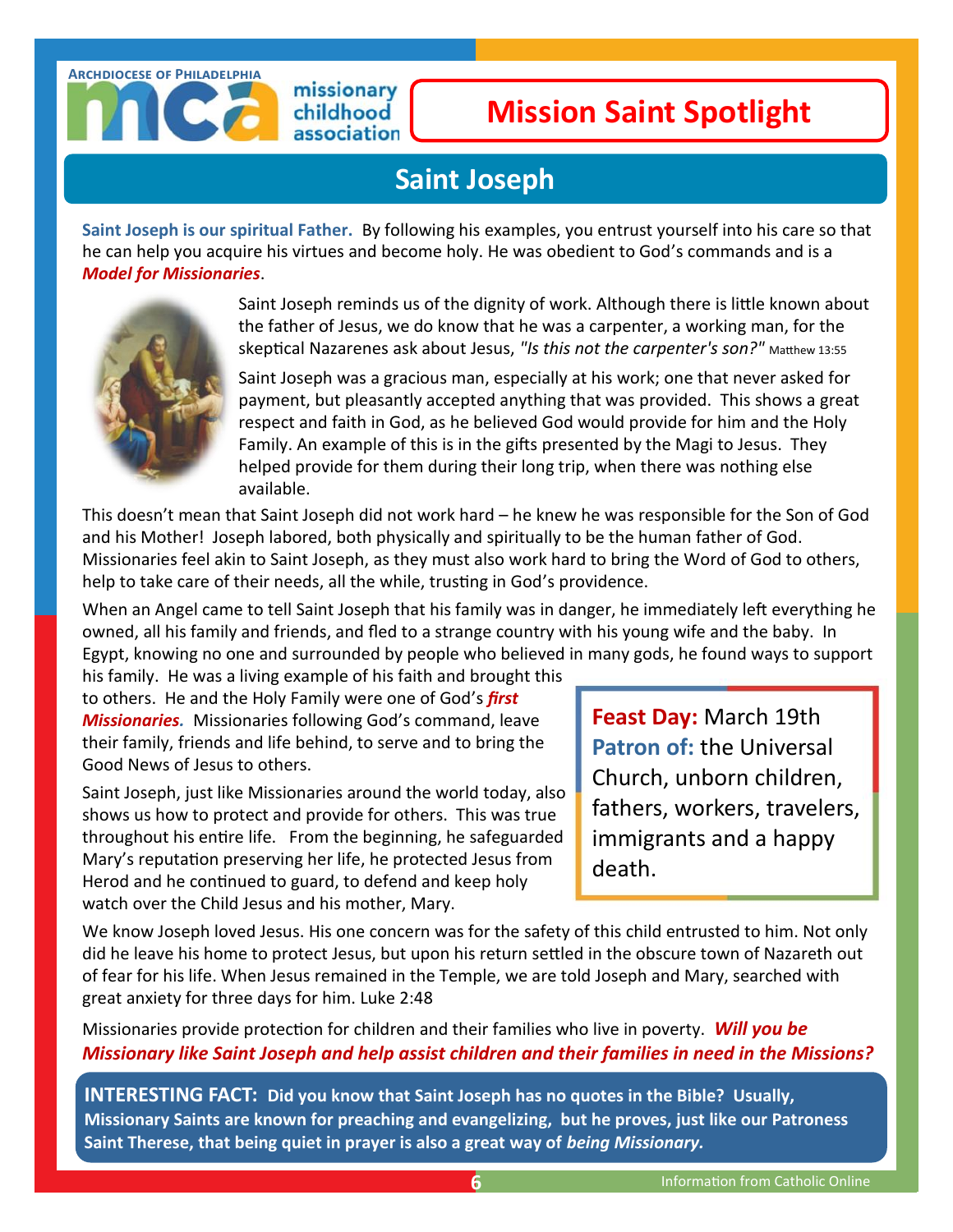#### **Archdiocese of Philadelphia**

#### missionary childhood association

## **Mission Saint Spotlight**

## **Saint Joseph**

**Saint Joseph is our spiritual Father.** By following his examples, you entrust yourself into his care so that he can help you acquire his virtues and become holy. He was obedient to God's commands and is a *Model for Missionaries*.



Saint Joseph reminds us of the dignity of work. Although there is little known about the father of Jesus, we do know that he was a carpenter, a working man, for the skeptical Nazarenes ask about Jesus, *"Is this not the carpenter's son?"* Matthew 13:55

Saint Joseph was a gracious man, especially at his work; one that never asked for payment, but pleasantly accepted anything that was provided. This shows a great respect and faith in God, as he believed God would provide for him and the Holy Family. An example of this is in the gifts presented by the Magi to Jesus. They helped provide for them during their long trip, when there was nothing else available.

This doesn't mean that Saint Joseph did not work hard – he knew he was responsible for the Son of God and his Mother! Joseph labored, both physically and spiritually to be the human father of God. Missionaries feel akin to Saint Joseph, as they must also work hard to bring the Word of God to others, help to take care of their needs, all the while, trusting in God's providence.

When an Angel came to tell Saint Joseph that his family was in danger, he immediately left everything he owned, all his family and friends, and fled to a strange country with his young wife and the baby. In Egypt, knowing no one and surrounded by people who believed in many gods, he found ways to support

his family. He was a living example of his faith and brought this to others. He and the Holy Family were one of God's *first Missionaries.* Missionaries following God's command, leave their family, friends and life behind, to serve and to bring the Good News of Jesus to others.

Saint Joseph, just like Missionaries around the world today, also shows us how to protect and provide for others. This was true throughout his entire life. From the beginning, he safeguarded Mary's reputation preserving her life, he protected Jesus from Herod and he continued to guard, to defend and keep holy watch over the Child Jesus and his mother, Mary.

**[Feast Day:](http://www.catholic.org/saints/f_day/)** March 19th **[Patron](http://www.catholic.org/saints/patron.php) of:** the Universal Church, unborn children, fathers, workers, travelers, immigrants and a happy death.

We know Joseph loved Jesus. His one concern was for the safety of this child entrusted to him. Not only did he leave his home to protect Jesus, but upon his return settled in the obscure town of Nazareth out of fear for his life. When Jesus remained in the Temple, we are told Joseph and Mary, searched with great anxiety for three days for him. Luke 2:48

Missionaries provide protection for children and their families who live in poverty. *Will you be Missionary like Saint Joseph and help assist children and their families in need in the Missions?* 

**INTERESTING FACT: Did you know that Saint Joseph has no quotes in the Bible? Usually, Missionary Saints are known for preaching and evangelizing, but he proves, just like our Patroness Saint Therese, that being quiet in prayer is also a great way of** *being Missionary.*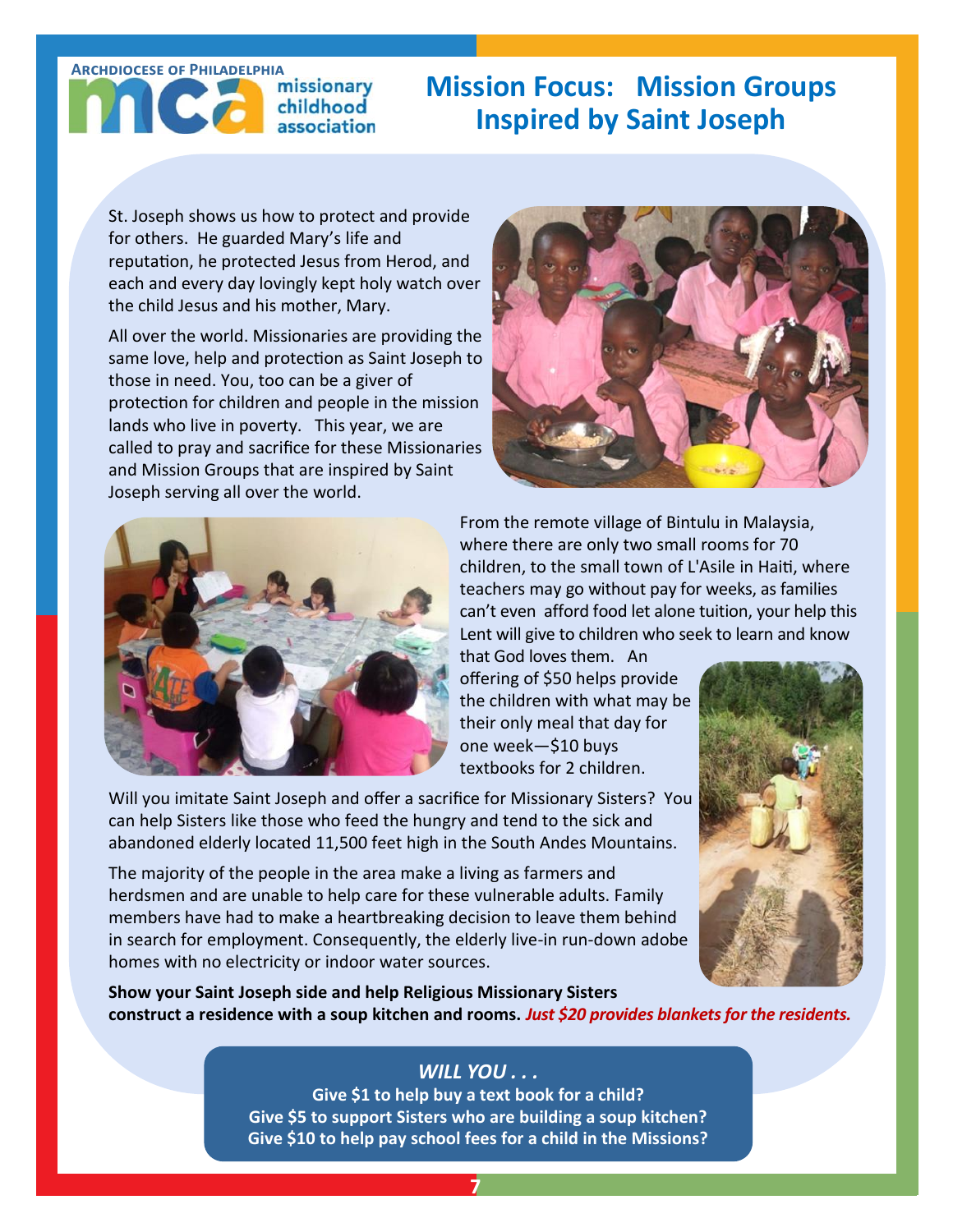# association

## ARCHDIOCESE OF PHILADELPHIA<br> **COMPANY AND MISSION FOCUS:** MISSION Groups **Inspired by Saint Joseph**

St. Joseph shows us how to protect and provide for others. He guarded Mary's life and reputation, he protected Jesus from Herod, and each and every day lovingly kept holy watch over the child Jesus and his mother, Mary.

All over the world. Missionaries are providing the same love, help and protection as Saint Joseph to those in need. You, too can be a giver of protection for children and people in the mission lands who live in poverty. This year, we are called to pray and sacrifice for these Missionaries and Mission Groups that are inspired by Saint Joseph serving all over the world.





From the remote village of Bintulu in Malaysia, where there are only two small rooms for 70 children, to the small town of L'Asile in Haiti, where teachers may go without pay for weeks, as families can't even afford food let alone tuition, your help this Lent will give to children who seek to learn and know

that God loves them. An offering of \$50 helps provide the children with what may be their only meal that day for one week—\$10 buys textbooks for 2 children.

Will you imitate Saint Joseph and offer a sacrifice for Missionary Sisters? You can help Sisters like those who feed the hungry and tend to the sick and abandoned elderly located 11,500 feet high in the South Andes Mountains.

The majority of the people in the area make a living as farmers and herdsmen and are unable to help care for these vulnerable adults. Family members have had to make a heartbreaking decision to leave them behind in search for employment. Consequently, the elderly live-in run-down adobe homes with no electricity or indoor water sources.



**Show your Saint Joseph side and help Religious Missionary Sisters construct a residence with a soup kitchen and rooms.** *Just \$20 provides blankets for the residents.*

## *WILL YOU . . .*

**Give \$1 to help buy a text book for a child? Give \$5 to support Sisters who are building a soup kitchen? Give \$10 to help pay school fees for a child in the Missions?**